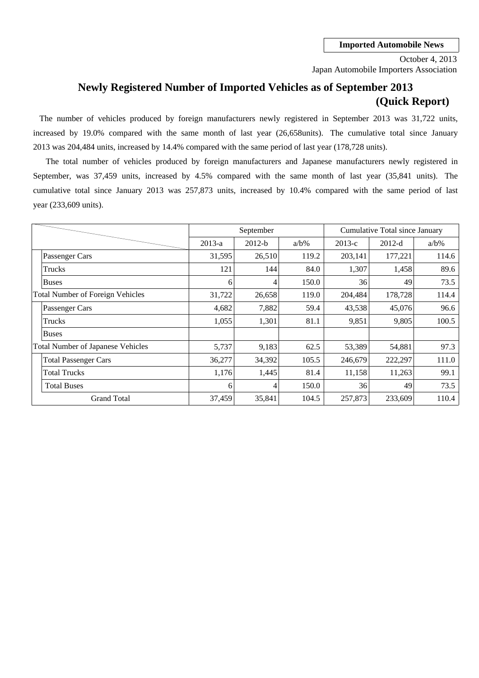Japan Automobile Importers Association October 4, 2013

# **Newly Registered Number of Imported Vehicles as of September 2013 (Quick Report)**

2013 was 204,484 units, increased by 14.4% compared with the same period of last year (178,728 units). The number of vehicles produced by foreign manufacturers newly registered in September 2013 was 31,722 units, increased by 19.0% compared with the same month of last year (26,658units). The cumulative total since January

cumulative total since January 2013 was 257,873 units, increased by 10.4% compared with the same period of last September, was 37,459 units, increased by 4.5% compared with the same month of last year (35,841 units). The year (233,609 units). The total number of vehicles produced by foreign manufacturers and Japanese manufacturers newly registered in

|                                          |          | September |         |          | Cumulative Total since January |         |
|------------------------------------------|----------|-----------|---------|----------|--------------------------------|---------|
|                                          | $2013-a$ | $2012-b$  | $a/b\%$ | $2013-c$ | $2012-d$                       | $a/b\%$ |
| Passenger Cars                           | 31,595   | 26,510    | 119.2   | 203,141  | 177,221                        | 114.6   |
| Trucks                                   | 121      | 144       | 84.0    | 1,307    | 1,458                          | 89.6    |
| <b>Buses</b>                             | 6        | 4         | 150.0   | 36       | 49                             | 73.5    |
| <b>Total Number of Foreign Vehicles</b>  | 31,722   | 26,658    | 119.0   | 204,484  | 178,728                        | 114.4   |
| Passenger Cars                           | 4,682    | 7,882     | 59.4    | 43,538   | 45,076                         | 96.6    |
| Trucks                                   | 1,055    | 1,301     | 81.1    | 9,851    | 9,805                          | 100.5   |
| <b>Buses</b>                             |          |           |         |          |                                |         |
| <b>Total Number of Japanese Vehicles</b> | 5,737    | 9,183     | 62.5    | 53,389   | 54,881                         | 97.3    |
| <b>Total Passenger Cars</b>              | 36,277   | 34,392    | 105.5   | 246,679  | 222,297                        | 111.0   |
| <b>Total Trucks</b>                      | 1,176    | 1,445     | 81.4    | 11,158   | 11,263                         | 99.1    |
| <b>Total Buses</b>                       | 6        | 4         | 150.0   | 36       | 49                             | 73.5    |
| <b>Grand Total</b>                       | 37,459   | 35,841    | 104.5   | 257,873  | 233,609                        | 110.4   |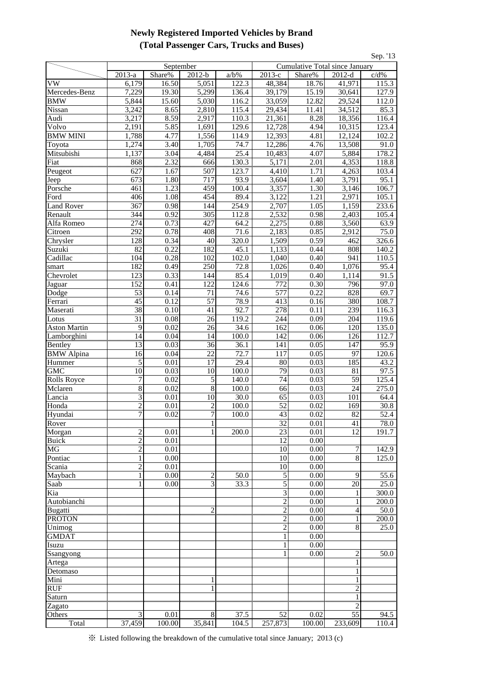### **Newly Registered Imported Vehicles by Brand (Total Passenger Cars, Trucks and Buses)**

| Sep. '13            |                                  |              |                                           |                    |                                |              |                    |                    |  |  |  |  |
|---------------------|----------------------------------|--------------|-------------------------------------------|--------------------|--------------------------------|--------------|--------------------|--------------------|--|--|--|--|
|                     |                                  | September    |                                           |                    | Cumulative Total since January |              |                    |                    |  |  |  |  |
|                     | $\overline{2013}$ -a             | Share%       | $2012-b$                                  | $a/b\%$            | 2013-е                         | Share%       | $2012-d$           | c/d%               |  |  |  |  |
| VW                  | 6,179                            | 16.50        | 5,051                                     | 122.3              | 48,384                         | 18.76        | 41,971             | 115.3              |  |  |  |  |
| Mercedes-Benz       | 7,229                            | 19.30        | $\overline{5,299}$                        | 136.4              | 39,179                         | 15.19        | 30,641             | 127.9              |  |  |  |  |
| <b>BMW</b>          | 5,844                            | 15.60        | 5,030                                     | 116.2              | 33,059                         | 12.82        | 29,524             | 112.0              |  |  |  |  |
| Nissan              | 3,242                            | 8.65         | 2,810                                     | 115.4              | 29,434                         | 11.41        | 34,512             | 85.3               |  |  |  |  |
| Audi                | 3,217                            | 8.59         | 2,917                                     | 110.3              | 21,361                         | 8.28         | 18,356             | 116.4              |  |  |  |  |
| Volvo               | 2,191                            | 5.85         | 1,691                                     | 129.6              | 12,728                         | 4.94         | 10,315             | 123.4              |  |  |  |  |
| <b>BMW MINI</b>     | 1,788                            | 4.77         | 1,556                                     | 114.9              | 12,393                         | 4.81         | 12,124             | 102.2              |  |  |  |  |
| Toyota              | 1,274                            | 3.40         | 1,705                                     | 74.7               | 12,286                         | 4.76         | 13,508             | 91.0               |  |  |  |  |
| Mitsubishi          | 1,137                            | 3.04         | 4,484                                     | 25.4               | 10,483                         | 4.07         | 5,884              | 178.2              |  |  |  |  |
| Fiat                | 868                              | 2.32         | 666                                       | 130.3              | $5,1\overline{71}$             | 2.01         | $4,\overline{353}$ | $118.\overline{8}$ |  |  |  |  |
| Peugeot             | 627<br>673                       | 1.67<br>1.80 | 507<br>717                                | 123.7<br>93.9      | 4,410<br>3,604                 | 1.71<br>1.40 | 4,263<br>3,791     | 103.4<br>95.1      |  |  |  |  |
| Jeep<br>Porsche     | 461                              | 1.23         | 459                                       | 100.4              | 3,357                          | 1.30         | 3,146              | 106.7              |  |  |  |  |
| Ford                | 406                              | 1.08         | 454                                       | 89.4               | 3,122                          | 1.21         | 2,971              | 105.1              |  |  |  |  |
| <b>Land Rover</b>   | 367                              | 0.98         | 144                                       | 254.9              | 2,707                          | 1.05         | 1,159              | 233.6              |  |  |  |  |
| Renault             | 344                              | 0.92         | 305                                       | 112.8              | 2,532                          | 0.98         | 2,403              | 105.4              |  |  |  |  |
| Alfa Romeo          | 274                              | 0.73         | 427                                       | 64.2               | 2,275                          | 0.88         | 3,560              | 63.9               |  |  |  |  |
| Citroen             | 292                              | 0.78         | 408                                       | 71.6               | 2,183                          | 0.85         | 2,912              | 75.0               |  |  |  |  |
| Chrysler            | 128                              | 0.34         | 40                                        | 320.0              | 1,509                          | 0.59         | 462                | 326.6              |  |  |  |  |
| Suzuki              | $rac{82}{2}$                     | 0.22         | 182                                       | 45.1               | 1,133                          | 0.44         | 808                | 140.2              |  |  |  |  |
| Cadillac            | 104                              | 0.28         | 102                                       | 102.0              | 1,040                          | 0.40         | 941                | 110.5              |  |  |  |  |
| smart               | 182                              | 0.49         | 250                                       | 72.8               | 1,026                          | 0.40         | 1,076              | 95.4               |  |  |  |  |
| Chevrolet           | 123                              | 0.33         | 144                                       | 85.4               | 1,019                          | 0.40         | 1,114              | 91.5               |  |  |  |  |
| Jaguar              | 152                              | 0.41         | 122                                       | 124.6              | 772                            | 0.30         | 796                | 97.0               |  |  |  |  |
| Dodge               | 53                               | 0.14         | 71                                        | 74.6               | 577                            | 0.22         | 828                | 69.7               |  |  |  |  |
| Ferrari             | $\overline{45}$                  | 0.12         | $\overline{57}$                           | 78.9               | 413                            | 0.16         | 380                | 108.7              |  |  |  |  |
| Maserati            | 38                               | 0.10         | 41                                        | 92.7               | 278                            | 0.11         | 239                | 116.3              |  |  |  |  |
| Lotus               | 31                               | 0.08         | 26                                        | 119.2              | 244                            | 0.09         | 204                | 119.6              |  |  |  |  |
| <b>Aston Martin</b> | 9                                | 0.02         | 26                                        | 34.6               | 162                            | 0.06         | 120                | 135.0              |  |  |  |  |
| Lamborghini         | 14                               | 0.04         | 14<br>                                    | 100.0              | 142                            | 0.06         | 126                | 112.7              |  |  |  |  |
| Bentley             | 13                               | 0.03         | 36                                        | 36.1               | 141                            | 0.05         | 147                | 95.9               |  |  |  |  |
| <b>BMW</b> Alpina   | 16                               | 0.04         | 22                                        | 72.7               | 117                            | 0.05         | 97                 | 120.6              |  |  |  |  |
| Hummer              | 5                                | 0.01         | 17                                        | 29.4               | 80                             | 0.03         | 185                | 43.2               |  |  |  |  |
| GMC                 | 10                               | 0.03         | 10                                        | 100.0              | 79                             | 0.03         | 81                 | 97.5               |  |  |  |  |
| <b>Rolls Royce</b>  | $\overline{7}$                   | 0.02         | 5                                         | 140.0              | 74                             | 0.03         | 59                 | 125.4              |  |  |  |  |
| Mclaren             | $\overline{8}$                   | 0.02         | $\overline{8}$                            | 100.0              | 66                             | 0.03         | 24                 | 275.0              |  |  |  |  |
| Lancia              | 3                                | 0.01         | 10                                        | 30.0               | 65                             | 0.03         | 101                | 64.4               |  |  |  |  |
| Honda               | $\overline{2}$                   | 0.01         | $\overline{2}$                            | $\overline{100.0}$ | 52                             | 0.02         | 169                | 30.8               |  |  |  |  |
| Hyundai             | 7                                | 0.02         | 7                                         | 100.0              | 43                             | 0.02         | 82                 | 52.4               |  |  |  |  |
| Rover               |                                  |              |                                           |                    | $\overline{32}$                | 0.01         | 41                 | 78.0               |  |  |  |  |
| Morgan              | 2                                | 0.01         |                                           | 200.0              | 23                             | 0.01         | 12                 | 191.7              |  |  |  |  |
| <b>Buick</b>        | $\overline{c}$<br>$\overline{c}$ | 0.01         |                                           |                    | 12                             | 0.00         |                    |                    |  |  |  |  |
| MG                  |                                  | 0.01         |                                           |                    | 10                             | 0.00<br>0.00 | 7<br>$\,8\,$       | 142.9              |  |  |  |  |
| Pontiac<br>Scania   | 1<br>$\overline{c}$              | 0.00<br>0.01 |                                           |                    | 10<br>10                       | 0.00         |                    | 125.0              |  |  |  |  |
| Maybach             | 1                                | 0.00         |                                           | 50.0               | 5                              | 0.00         | 9                  | 55.6               |  |  |  |  |
| Saab                |                                  | 0.00         | $\overline{\mathbf{c}}$<br>$\overline{3}$ | 33.3               | 5                              | 0.00         | 20                 | 25.0               |  |  |  |  |
| Kia                 |                                  |              |                                           |                    | 3                              | 0.00         |                    | 300.0              |  |  |  |  |
| Autobianchi         |                                  |              |                                           |                    | $\overline{c}$                 | 0.00         |                    | 200.0              |  |  |  |  |
| Bugatti             |                                  |              | $\overline{c}$                            |                    | $\overline{c}$                 | 0.00         | 4                  | 50.0               |  |  |  |  |
| <b>PROTON</b>       |                                  |              |                                           |                    | 2                              | 0.00         | 1                  | 200.0              |  |  |  |  |
| Unimog              |                                  |              |                                           |                    | $\overline{2}$                 | 0.00         | 8                  | 25.0               |  |  |  |  |
| <b>GMDAT</b>        |                                  |              |                                           |                    | 1                              | 0.00         |                    |                    |  |  |  |  |
| Isuzu               |                                  |              |                                           |                    | 1                              | 0.00         |                    |                    |  |  |  |  |
| Ssangyong           |                                  |              |                                           |                    | 1                              | 0.00         | $\overline{c}$     | 50.0               |  |  |  |  |
| Artega              |                                  |              |                                           |                    |                                |              | 1                  |                    |  |  |  |  |
| Detomaso            |                                  |              |                                           |                    |                                |              |                    |                    |  |  |  |  |
| Mini                |                                  |              |                                           |                    |                                |              |                    |                    |  |  |  |  |
| <b>RUF</b>          |                                  |              |                                           |                    |                                |              | $\overline{2}$     |                    |  |  |  |  |
| Saturn              |                                  |              |                                           |                    |                                |              |                    |                    |  |  |  |  |
| Zagato              |                                  |              |                                           |                    |                                |              |                    |                    |  |  |  |  |
| Others              | 3                                | 0.01         | $\,8\,$                                   | 37.5               | 52                             | 0.02         | $\overline{55}$    | 94.5               |  |  |  |  |
| Total               | 37,459                           | 100.00       | 35,841                                    | 104.5              | 257,873                        | 100.00       | 233,609            | 110.4              |  |  |  |  |

※ Listed following the breakdown of the cumulative total since January; 2013 (c)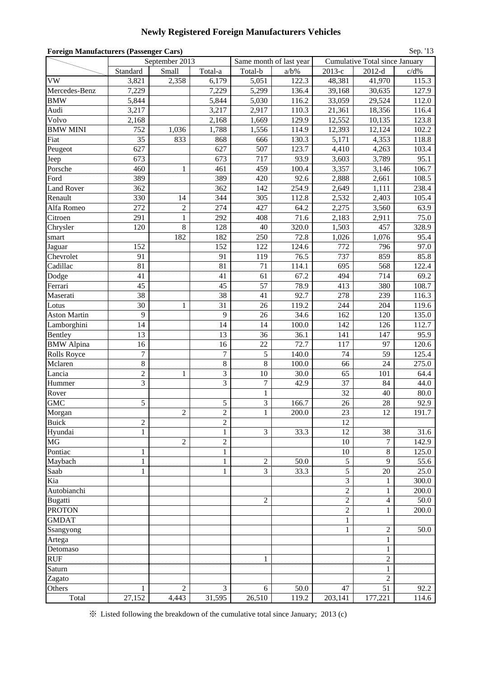## **Newly Registered Foreign Manufacturers Vehicles**

| <b>Foreign Manufacturers (Passenger Cars)</b><br>Sep. '13 |                    |                |                  |                      |                         |                                  |                                |               |  |  |  |
|-----------------------------------------------------------|--------------------|----------------|------------------|----------------------|-------------------------|----------------------------------|--------------------------------|---------------|--|--|--|
|                                                           |                    | September 2013 |                  |                      | Same month of last year |                                  | Cumulative Total since January |               |  |  |  |
|                                                           | Standard           | Small          | Total-a          | Total-b              | $a/b\%$                 | 2013-е                           | $2012-d$                       | c/d%          |  |  |  |
| VW                                                        | 3,821              | 2,358          | 6,179            | 5,051                | 122.3                   | 48,381                           | 41,970                         | 115.3         |  |  |  |
| Mercedes-Benz                                             | 7,229              |                | 7,229            | 5,299                | 136.4                   | 39,168                           | 30,635                         | 127.9         |  |  |  |
| <b>BMW</b>                                                | 5,844              |                | 5,844            | 5,030                | 116.2                   | 33,059                           | 29,524                         | 112.0         |  |  |  |
| Audi                                                      | 3,217              |                | 3,217            | 2,917                | 110.3                   | 21,361                           | 18,356                         | 116.4         |  |  |  |
| Volvo                                                     | 2,168              |                | 2,168            | 1,669                | 129.9                   | 12,552                           | 10,135                         | 123.8         |  |  |  |
| <b>BMW MINI</b>                                           | 752                | 1,036          | 1,788            | 1,556                | 114.9                   | 12,393                           | 12,124                         | 102.2         |  |  |  |
| Fiat                                                      | 35                 | 833            | 868              | 666                  | 130.3                   | 5,171                            | 4,353                          | 118.8         |  |  |  |
| Peugeot                                                   | 627                |                | 627              | 507                  | 123.7                   | 4,410                            | 4,263                          | 103.4         |  |  |  |
| Jeep                                                      | 673                |                | 673              | 717                  | 93.9                    | 3,603                            | 3,789                          | 95.1          |  |  |  |
| Porsche                                                   | 460                |                | 461              | 459                  | 100.4                   | 3,357                            | 3,146                          | 106.7         |  |  |  |
| Ford                                                      | 389                |                | 389              | 420                  | 92.6                    | 2,888                            | 2,661                          | 108.5         |  |  |  |
| <b>Land Rover</b>                                         | 362                |                | 362              | 142                  | 254.9                   | 2,649                            | 1,111                          | 238.4         |  |  |  |
| Renault                                                   | 330                | 14             | 344              | 305                  | 112.8                   | 2,532                            | 2,403                          | 105.4         |  |  |  |
| Alfa Romeo                                                | 272                | $\overline{c}$ | 274              | 427                  | 64.2                    | 2,275                            | 3,560                          | 63.9          |  |  |  |
| Citroen                                                   | 291                | $\,1\,$        | 292              | 408                  | 71.6                    | 2,183                            | 2,911                          | 75.0          |  |  |  |
| Chrysler                                                  | 120                | 8              | 128              | 40                   | 320.0                   | 1,503                            | 457                            | 328.9         |  |  |  |
| smart                                                     |                    | 182            | 182              | 250                  | 72.8                    | 1,026                            | 1,076                          | 95.4          |  |  |  |
| Jaguar                                                    | 152                |                | 152              | 122                  | 124.6                   | 772                              | 796                            | 97.0          |  |  |  |
| Chevrolet                                                 | 91                 |                | 91               | 119                  | 76.5                    | 737                              | 859                            | 85.8          |  |  |  |
| Cadillac                                                  | 81                 |                | 81               | 71                   | 114.1                   | 695                              | 568                            | 122.4         |  |  |  |
| Dodge                                                     | 41                 |                | 41               | 61                   | 67.2                    | 494                              | 714                            | 69.2          |  |  |  |
| Ferrari                                                   | 45                 |                | 45               | 57                   | 78.9                    | 413                              | 380                            | 108.7         |  |  |  |
| Maserati                                                  | 38                 |                | 38               | 41                   | 92.7                    | 278                              | 239                            | 116.3         |  |  |  |
| Lotus                                                     | 30                 | 1              | 31               | 26                   | 119.2                   | 244                              | 204                            | 119.6         |  |  |  |
| <b>Aston Martin</b>                                       | 9                  |                | 9                | 26                   | 34.6                    | 162                              | 120                            | 135.0         |  |  |  |
| Lamborghini                                               | 14                 |                | 14               | 14                   | 100.0                   | 142                              | 126                            | 112.7         |  |  |  |
| Bentley                                                   | 13                 |                | 13               | 36                   | 36.1                    | 141                              | 147                            | 95.9          |  |  |  |
| <b>BMW</b> Alpina                                         | 16                 |                | 16               | 22                   | 72.7                    | 117                              | 97                             | 120.6         |  |  |  |
| <b>Rolls Royce</b>                                        | $\boldsymbol{7}$   |                | $\boldsymbol{7}$ | 5                    | 140.0                   | 74                               | 59                             | 125.4         |  |  |  |
| Mclaren                                                   | 8                  |                | $\,8\,$          | 8                    | 100.0                   | 66                               | 24                             | 275.0         |  |  |  |
| Lancia                                                    | $\overline{c}$     | 1              | 3                | 10                   | 30.0                    | 65                               | 101                            | 64.4          |  |  |  |
| Hummer                                                    | 3                  |                | 3                | $\boldsymbol{7}$     | 42.9                    | 37                               | 84                             | 44.0          |  |  |  |
| Rover                                                     |                    |                |                  | $\mathbf{1}$         |                         | 32                               | 40                             | 80.0          |  |  |  |
| <b>GMC</b>                                                | 5                  |                | 5                | $\overline{3}$       | 166.7                   | 26                               | 28                             | 92.9          |  |  |  |
| Morgan                                                    |                    | 2              | 2                | $\mathbf{1}$         | 200.0                   | 23                               | 12                             | 191.7         |  |  |  |
| <b>Buick</b>                                              | $\overline{c}$     |                | $\overline{c}$   |                      |                         | 12                               |                                |               |  |  |  |
| Hyundai                                                   | $\mathbf{1}$       |                | 1                | 3                    | 33.3                    | 12                               | 38                             | 31.6          |  |  |  |
| <b>MG</b>                                                 |                    | $\overline{c}$ | $\overline{c}$   |                      |                         | 10                               | 7                              | 142.9         |  |  |  |
| Pontiac                                                   | 1                  |                | 1                |                      |                         | 10                               | 8<br>9                         | 125.0         |  |  |  |
| Maybach                                                   | $\mathbf{1}$<br>mm |                | 1<br>unun        | $\overline{c}$<br>mm | 50.0<br>                | 5<br>unnu                        | umun                           | 55.6          |  |  |  |
| Saab                                                      |                    |                | 1                | 3                    | 33.3                    | 5                                | 20                             | 25.0<br>300.0 |  |  |  |
| Kia<br>Autobianchi                                        |                    |                |                  |                      |                         | 3<br>$\overline{2}$              | 1<br>1                         | 200.0         |  |  |  |
|                                                           |                    |                |                  |                      |                         |                                  |                                | 50.0          |  |  |  |
| Bugatti<br><b>PROTON</b>                                  |                    |                |                  | $\overline{c}$       |                         | $\mathfrak{2}$<br>$\overline{2}$ | 4<br>1                         | 200.0         |  |  |  |
| <b>GMDAT</b>                                              |                    |                |                  |                      |                         |                                  |                                |               |  |  |  |
|                                                           |                    |                |                  |                      |                         | 1<br>1                           | $\overline{2}$                 | 50.0          |  |  |  |
| Ssangyong                                                 |                    |                |                  |                      |                         |                                  |                                |               |  |  |  |
| Artega                                                    |                    |                |                  |                      |                         |                                  | 1                              |               |  |  |  |
| Detomaso                                                  |                    |                |                  | 1                    |                         |                                  | 1<br>$\overline{c}$            |               |  |  |  |
| <b>RUF</b>                                                |                    |                |                  |                      |                         |                                  | mm                             |               |  |  |  |
| Saturn                                                    |                    |                |                  |                      |                         |                                  | 1<br>$\overline{c}$            |               |  |  |  |
| Zagato<br>Others                                          | 1                  | $\overline{2}$ | 3                | 6                    | 50.0                    | 47                               | 51                             | 92.2          |  |  |  |
| Total                                                     | 27,152             | 4,443          | 31,595           | 26,510               | 119.2                   | 203,141                          | 177,221                        | 114.6         |  |  |  |
|                                                           |                    |                |                  |                      |                         |                                  |                                |               |  |  |  |

※ Listed following the breakdown of the cumulative total since January; 2013 (c)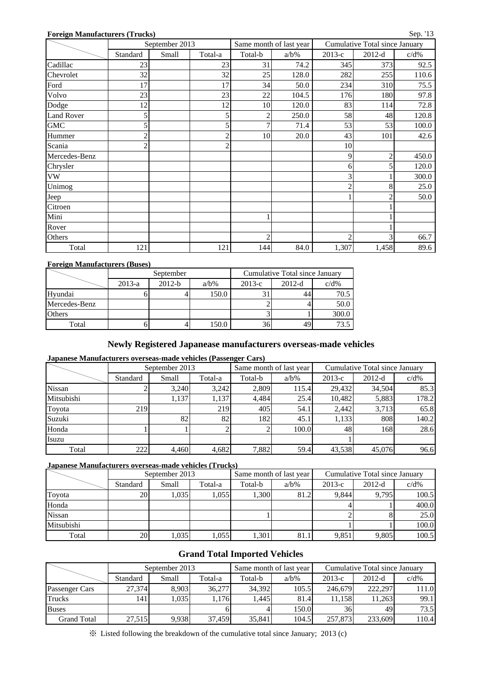### **Foreign Manufacturers (Trucks)**

| еD |  |
|----|--|
|----|--|

|                   | September 2013 |       |                |                | Same month of last year | Cumulative Total since January |                |         |  |
|-------------------|----------------|-------|----------------|----------------|-------------------------|--------------------------------|----------------|---------|--|
|                   | Standard       | Small | Total-a        | Total-b        | $a/b\%$                 | $2013-c$                       | $2012-d$       | $c/d\%$ |  |
| Cadillac          | 23             |       | 23             | 31             | 74.2                    | 345                            | 373            | 92.5    |  |
| Chevrolet         | 32             |       | 32             | 25             | 128.0                   | 282                            | 255            | 110.6   |  |
| Ford              | 17             |       | 17             | 34             | 50.0                    | 234                            | 310            | 75.5    |  |
| Volvo             | 23             |       | 23             | $22\,$         | 104.5                   | 176                            | 180            | 97.8    |  |
| Dodge             | 12             |       | 12             | 10             | 120.0                   | 83                             | 114            | 72.8    |  |
| <b>Land Rover</b> | 5              |       | 5              | $\overline{2}$ | 250.0                   | 58                             | 48             | 120.8   |  |
| <b>GMC</b>        | 5              |       | 5              | 7              | 71.4                    | 53                             | 53             | 100.0   |  |
| Hummer            |                |       | $\overline{2}$ | 10             | 20.0                    | 43                             | 101            | 42.6    |  |
| Scania            | 2              |       | $\overline{2}$ |                |                         | 10                             |                |         |  |
| Mercedes-Benz     |                |       |                |                |                         | 9                              | $\overline{c}$ | 450.0   |  |
| Chrysler          |                |       |                |                |                         | 6                              | 5              | 120.0   |  |
| <b>VW</b>         |                |       |                |                |                         | 3                              |                | 300.0   |  |
| Unimog            |                |       |                |                |                         | $\overline{c}$                 | 8              | 25.0    |  |
| Jeep              |                |       |                |                |                         |                                |                | 50.0    |  |
| Citroen           |                |       |                |                |                         |                                |                |         |  |
| Mini              |                |       |                |                |                         |                                |                |         |  |
| Rover             |                |       |                |                |                         |                                |                |         |  |
| Others            |                |       |                | $\overline{c}$ |                         | $\overline{2}$                 | 3              | 66.7    |  |
| Total             | 121            |       | 121            | 144            | 84.0                    | 1,307                          | 1,458          | 89.6    |  |

#### **Foreign Manufacturers (Buses)**

|               |          | September |         | Cumulative Total since January |          |         |  |  |
|---------------|----------|-----------|---------|--------------------------------|----------|---------|--|--|
|               | $2013-a$ | $2012-b$  | $a/b\%$ | $2013-c$                       | $2012-d$ | $c/d\%$ |  |  |
| Hyundai       |          |           | 150.0   |                                |          | 70.5    |  |  |
| Mercedes-Benz |          |           |         |                                |          | 50.0    |  |  |
| <b>Others</b> |          |           |         |                                |          | 300.0   |  |  |
| Total         |          |           | 150.0   | 36                             |          | 73.5    |  |  |

### **Newly Registered Japanease manufacturers overseas-made vehicles**

### **Japanese Manufacturers overseas-made vehicles (Passenger Cars)**

|               |          | September 2013 |         |         | Same month of last year | Cumulative Total since January |          |         |  |
|---------------|----------|----------------|---------|---------|-------------------------|--------------------------------|----------|---------|--|
|               | Standard | Small          | Total-a | Total-b | $a/b\%$                 | $2013-c$                       | $2012-d$ | $c/d\%$ |  |
| <b>Nissan</b> |          | 3.240          | 3,242   | 2,809   | 115.4                   | 29,432                         | 34.504   | 85.3    |  |
| Mitsubishi    |          | 1,137          | 1,137   | 4,484   | 25.4                    | 10.482                         | 5,883    | 178.2   |  |
| Toyota        | 219      |                | 219     | 405     | 54.1                    | 2,442                          | 3,713    | 65.8    |  |
| Suzuki        |          | 82             | 82      | 182     | 45.1                    | 1,133                          | 808      | 140.2   |  |
| Honda         |          |                |         |         | 100.0                   | 48                             | 168      | 28.6    |  |
| Isuzu         |          |                |         |         |                         |                                |          |         |  |
| Total         | 222      | 4.460          | 4,682   | 7,882   | 59.4                    | 43,538                         | 45,076   | 96.6    |  |

### **Japanese Manufacturers overseas-made vehicles (Trucks)**

|               |           | September 2013 |         |         | Same month of last year | Cumulative Total since January |          |         |  |
|---------------|-----------|----------------|---------|---------|-------------------------|--------------------------------|----------|---------|--|
|               | Standard  | Small          | Total-a | Total-b | $a/b\%$                 | $2013-c$                       | $2012-d$ | $c/d\%$ |  |
| Toyota        | <b>20</b> | .035           | 1,055   | 1,300   | 81.2                    | 9.844                          | 9.795    | 100.5   |  |
| Honda         |           |                |         |         |                         |                                |          | 400.0   |  |
| <b>Nissan</b> |           |                |         |         |                         |                                |          | 25.0    |  |
| Mitsubishi    |           |                |         |         |                         |                                |          | 100.0   |  |
| Total         | <b>20</b> | 1,035          | 1,055   | 1.301   | 81.1                    | 9,851                          | 9.805    | 100.5   |  |

### **Grand Total Imported Vehicles**

|                    |          | September 2013 |         |         | Same month of last year | Cumulative Total since January |          |         |  |
|--------------------|----------|----------------|---------|---------|-------------------------|--------------------------------|----------|---------|--|
|                    | Standard | Small          | Total-a | Total-b | $a/b\%$                 | $2013-c$                       | $2012-d$ | $c/d\%$ |  |
| Passenger Cars     | 27.374   | 8.903          | 36.277  | 34.392  | 105.5                   | 246,679                        | 222,297  | 111.0   |  |
| Trucks             | 141      | .035           | 1,176   | 1.445   | 81.4                    | 11.158                         | 11.263   | 99.1    |  |
| <b>Buses</b>       |          |                |         |         | 150.0                   | 36                             | 49       | 73.5    |  |
| <b>Grand Total</b> | 27.515   | 9.938          | 37.459  | 35,841  | 104.5                   | 257,873                        | 233.609  | 110.4   |  |

※ Listed following the breakdown of the cumulative total since January; 2013 (c)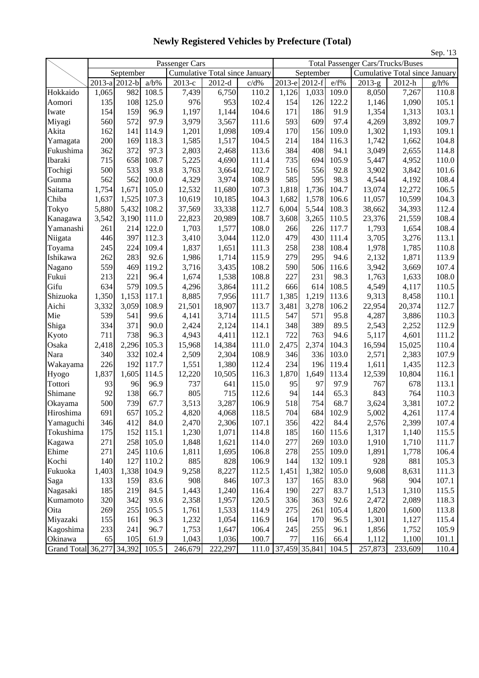|                           |       |                            |         |                                                         |          |       | 5ер. 15<br><b>Total Passenger Cars/Trucks/Buses</b> |                            |       |          |                                |                  |  |
|---------------------------|-------|----------------------------|---------|---------------------------------------------------------|----------|-------|-----------------------------------------------------|----------------------------|-------|----------|--------------------------------|------------------|--|
|                           |       |                            |         | Passenger Cars<br><b>Cumulative Total since January</b> |          |       |                                                     |                            |       |          |                                |                  |  |
|                           |       | September<br>2013-a 2012-b | $a/b\%$ | $2013-c$                                                | $2012-d$ | c/d%  |                                                     | September<br>2013-e 2012-f | e/f%  | $2013-g$ | Cumulative Total since January |                  |  |
| Hokkaido                  | 1,065 | 982                        | 108.5   | 7,439                                                   | 6,750    | 110.2 | 1,126                                               | 1,033                      | 109.0 | 8,050    | 2012-h<br>7,267                | $g/h\%$<br>110.8 |  |
| Aomori                    | 135   | 108                        | 125.0   | 976                                                     | 953      | 102.4 | 154                                                 | 126                        | 122.2 | 1,146    | 1,090                          | 105.1            |  |
| Iwate                     | 154   | 159                        | 96.9    | 1,197                                                   | 1,144    | 104.6 | 171                                                 | 186                        | 91.9  | 1,354    | 1,313                          | 103.1            |  |
| Miyagi                    | 560   | 572                        | 97.9    | 3,979                                                   | 3,567    | 111.6 | 593                                                 | 609                        | 97.4  | 4,269    | 3,892                          | 109.7            |  |
| Akita                     | 162   | 141                        | 114.9   | 1,201                                                   | 1,098    | 109.4 | 170                                                 | 156                        | 109.0 | 1,302    | 1,193                          | 109.1            |  |
| Yamagata                  | 200   | 169                        | 118.3   | 1,585                                                   | 1,517    | 104.5 | 214                                                 | 184                        | 116.3 | 1,742    | 1,662                          | 104.8            |  |
| Fukushima                 | 362   | 372                        | 97.3    | 2,803                                                   | 2,468    | 113.6 | 384                                                 | 408                        | 94.1  | 3,049    | 2,655                          | 114.8            |  |
| Ibaraki                   | 715   | 658                        | 108.7   | 5,225                                                   | 4,690    | 111.4 | 735                                                 | 694                        | 105.9 | 5,447    | 4,952                          | 110.0            |  |
| Tochigi                   | 500   | 533                        | 93.8    | 3,763                                                   | 3,664    | 102.7 | 516                                                 | 556                        | 92.8  | 3,902    | 3,842                          | 101.6            |  |
| Gunma                     | 562   | 562                        | 100.0   | 4,329                                                   | 3,974    | 108.9 | 585                                                 | 595                        | 98.3  | 4,544    | 4,192                          | 108.4            |  |
| Saitama                   | 1,754 | 1,671                      | 105.0   | 12,532                                                  | 11,680   | 107.3 | 1,818                                               | 1,736                      | 104.7 | 13,074   | 12,272                         | 106.5            |  |
| Chiba                     | 1,637 | 1,525                      | 107.3   | 10,619                                                  | 10,185   | 104.3 | 1,682                                               | 1,578                      | 106.6 | 11,057   | 10,599                         | 104.3            |  |
| Tokyo                     | 5,880 | 5,432                      | 108.2   | 37,569                                                  | 33,338   | 112.7 | 6,004                                               | 5,544                      | 108.3 | 38,662   | 34,393                         | 112.4            |  |
| Kanagawa                  | 3,542 | 3,190                      | 111.0   | 22,823                                                  | 20,989   | 108.7 | 3,608                                               | 3,265                      | 110.5 | 23,376   | 21,559                         | 108.4            |  |
| Yamanashi                 | 261   | 214                        | 122.0   | 1,703                                                   | 1,577    | 108.0 | 266                                                 | 226                        | 117.7 | 1,793    | 1,654                          | 108.4            |  |
| Niigata                   | 446   | 397                        | 112.3   | 3,410                                                   | 3,044    | 112.0 | 479                                                 | 430                        | 111.4 | 3,705    | 3,276                          | 113.1            |  |
| Toyama                    | 245   | 224                        | 109.4   | 1,837                                                   | 1,651    | 111.3 | 258                                                 | 238                        | 108.4 | 1,978    | 1,785                          | 110.8            |  |
| Ishikawa                  | 262   | 283                        | 92.6    | 1,986                                                   | 1,714    | 115.9 | 279                                                 | 295                        | 94.6  | 2,132    | 1,871                          | 113.9            |  |
| Nagano                    | 559   | 469                        | 119.2   | 3,716                                                   | 3,435    | 108.2 | 590                                                 | 506                        | 116.6 | 3,942    | 3,669                          | 107.4            |  |
| Fukui                     | 213   | 221                        | 96.4    | 1,674                                                   | 1,538    | 108.8 | 227                                                 | 231                        | 98.3  | 1,763    | 1,633                          | 108.0            |  |
| Gifu                      | 634   | 579                        | 109.5   | 4,296                                                   | 3,864    | 111.2 | 666                                                 | 614                        | 108.5 | 4,549    | 4,117                          | 110.5            |  |
| Shizuoka                  | 1,350 | 1,153                      | 117.1   | 8,885                                                   | 7,956    | 111.7 | 1,385                                               | 1,219                      | 113.6 | 9,313    | 8,458                          | 110.1            |  |
| Aichi                     | 3,332 | 3,059                      | 108.9   | 21,501                                                  | 18,907   | 113.7 | 3,481                                               | 3,278                      | 106.2 | 22,954   | 20,374                         | 112.7            |  |
| Mie                       | 539   | 541                        | 99.6    | 4,141                                                   | 3,714    | 111.5 | 547                                                 | 571                        | 95.8  | 4,287    | 3,886                          | 110.3            |  |
| Shiga                     | 334   | 371                        | 90.0    | 2,424                                                   | 2,124    | 114.1 | 348                                                 | 389                        | 89.5  | 2,543    | 2,252                          | 112.9            |  |
| Kyoto                     | 711   | 738                        | 96.3    | 4,943                                                   | 4,411    | 112.1 | 722                                                 | 763                        | 94.6  | 5,117    | 4,601                          | 111.2            |  |
| Osaka                     | 2,418 | 2,296                      | 105.3   | 15,968                                                  | 14,384   | 111.0 | 2,475                                               | 2,374                      | 104.3 | 16,594   | 15,025                         | 110.4            |  |
| Nara                      | 340   | 332                        | 102.4   | 2,509                                                   | 2,304    | 108.9 | 346                                                 | 336                        | 103.0 | 2,571    | 2,383                          | 107.9            |  |
| Wakayama                  | 226   | 192                        | 117.7   | 1,551                                                   | 1,380    | 112.4 | 234                                                 | 196                        | 119.4 | 1,611    | 1,435                          | 112.3            |  |
| Hyogo                     | 1,837 | 1,605                      | 114.5   | 12,220                                                  | 10,505   | 116.3 | 1,870                                               | 1,649                      | 113.4 | 12,539   | 10,804                         | 116.1            |  |
| Tottori                   | 93    | 96                         | 96.9    | 737                                                     | 641      | 115.0 | 95                                                  | 97                         | 97.9  | 767      | 678                            | 113.1            |  |
| Shimane                   | 92    | 138                        | 66.7    | 805                                                     | 715      | 112.6 | 94                                                  | 144                        | 65.3  | 843      | 764                            | 110.3            |  |
| Okayama                   | 500   | 739                        | 67.7    | 3,513                                                   | 3,287    | 106.9 | 518                                                 | 754                        | 68.7  | 3,624    | 3,381                          | 107.2            |  |
| Hiroshima                 | 691   | 657                        | 105.2   | 4,820                                                   | 4,068    | 118.5 | 704                                                 | 684                        | 102.9 | 5,002    | 4,261                          | 117.4            |  |
| Yamaguchi                 | 346   | 412                        | 84.0    | 2,470                                                   | 2,306    | 107.1 | 356                                                 | 422                        | 84.4  | 2,576    | 2,399                          | 107.4            |  |
| Tokushima                 | 175   | 152                        | 115.1   | 1,230                                                   | 1,071    | 114.8 | 185                                                 | 160                        | 115.6 | 1,317    | 1,140                          | 115.5            |  |
| Kagawa                    | 271   | 258                        | 105.0   | 1,848                                                   | 1,621    | 114.0 | 277                                                 | 269                        | 103.0 | 1,910    | 1,710                          | 111.7            |  |
| Ehime                     | 271   | 245                        | 110.6   | 1,811                                                   | 1,695    | 106.8 | 278                                                 | 255                        | 109.0 | 1,891    | 1,778                          | 106.4            |  |
| Kochi                     | 140   | 127                        | 110.2   | 885                                                     | 828      | 106.9 | 144                                                 | 132                        | 109.1 | 928      | 881                            | 105.3            |  |
| Fukuoka                   | 1,403 | 1,338                      | 104.9   | 9,258                                                   | 8,227    | 112.5 | 1,451                                               | 1,382                      | 105.0 | 9,608    | 8,631                          | 111.3            |  |
| Saga                      | 133   | 159                        | 83.6    | 908                                                     | 846      | 107.3 | 137                                                 | 165                        | 83.0  | 968      | 904                            | 107.1            |  |
| Nagasaki                  | 185   | 219                        | 84.5    | 1,443                                                   | 1,240    | 116.4 | 190                                                 | 227                        | 83.7  | 1,513    | 1,310                          | 115.5            |  |
| Kumamoto                  | 320   | 342                        | 93.6    | 2,358                                                   | 1,957    | 120.5 | 336                                                 | 363                        | 92.6  | 2,472    | 2,089                          | 118.3            |  |
| Oita                      | 269   | 255                        | 105.5   | 1,761                                                   | 1,533    | 114.9 | 275                                                 | 261                        | 105.4 | 1,820    | 1,600                          | 113.8            |  |
| Miyazaki                  | 155   | 161                        | 96.3    | 1,232                                                   | 1,054    | 116.9 | 164                                                 | 170                        | 96.5  | 1,301    | 1,127                          | 115.4            |  |
| Kagoshima                 | 233   | 241                        | 96.7    | 1,753                                                   | 1,647    | 106.4 | 245                                                 | 255                        | 96.1  | 1,856    | 1,752                          | 105.9            |  |
| Okinawa                   | 65    | 105                        | 61.9    | 1,043                                                   | 1,036    | 100.7 | 77                                                  | 116                        | 66.4  | 1,112    | 1,100                          | 101.1            |  |
| Grand Total 36,277 34,392 |       |                            | 105.5   | 246,679                                                 | 222,297  | 111.0 | 37,459 35,841                                       |                            | 104.5 | 257,873  | 233,609                        | 110.4            |  |

**Newly Registered Vehicles by Prefecture (Total)**

 $S_{\text{on}}$  '13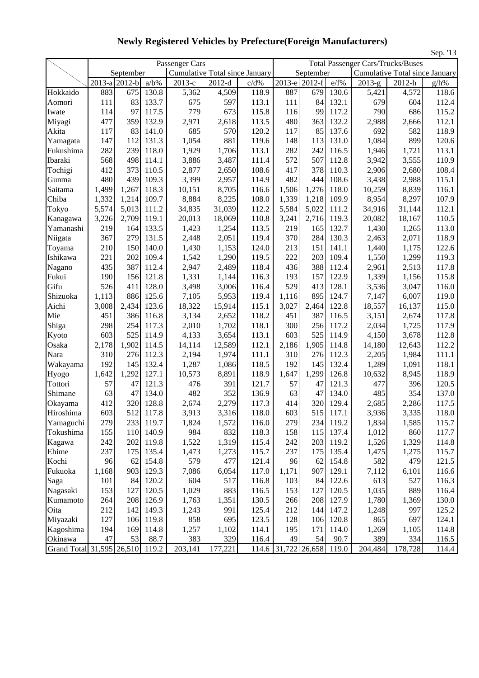|                           |       |                             |         |                |                                |       |       |               |       |                                          |                                | Sep. '13 |
|---------------------------|-------|-----------------------------|---------|----------------|--------------------------------|-------|-------|---------------|-------|------------------------------------------|--------------------------------|----------|
|                           |       |                             |         | Passenger Cars |                                |       |       |               |       | <b>Total Passenger Cars/Trucks/Buses</b> |                                |          |
|                           |       | September                   |         |                | Cumulative Total since January |       |       | September     |       |                                          | Cumulative Total since January |          |
|                           |       | $\overline{201}$ 3-a 2012-b | $a/b\%$ | $2013-c$       | $2012-d$                       | c/d%  |       | 2013-e 2012-f | e/f%  | $2013-g$                                 | 2012-h                         | g/h%     |
| Hokkaido                  | 883   | 675                         | 130.8   | 5,362          | 4,509                          | 118.9 | 887   | 679           | 130.6 | 5,421                                    | 4,572                          | 118.6    |
| Aomori                    | 111   | 83                          | 133.7   | 675            | 597                            | 113.1 | 111   | 84            | 132.1 | 679                                      | 604                            | 112.4    |
| Iwate                     | 114   | 97                          | 117.5   | 779            | 673                            | 115.8 | 116   | 99            | 117.2 | 790                                      | 686                            | 115.2    |
| Miyagi                    | 477   | 359                         | 132.9   | 2,971          | 2,618                          | 113.5 | 480   | 363           | 132.2 | 2,988                                    | 2,666                          | 112.1    |
| Akita                     | 117   | 83                          | 141.0   | 685            | 570                            | 120.2 | 117   | 85            | 137.6 | 692                                      | 582                            | 118.9    |
| Yamagata                  | 147   | 112                         | 131.3   | 1,054          | 881                            | 119.6 | 148   | 113           | 131.0 | 1,084                                    | 899                            | 120.6    |
| Fukushima                 | 282   | 239                         | 118.0   | 1,929          | 1,706                          | 113.1 | 282   | 242           | 116.5 | 1,946                                    | 1,721                          | 113.1    |
| Ibaraki                   | 568   | 498                         | 114.1   | 3,886          | 3,487                          | 111.4 | 572   | 507           | 112.8 | 3,942                                    | 3,555                          | 110.9    |
| Tochigi                   | 412   | 373                         | 110.5   | 2,877          | 2,650                          | 108.6 | 417   | 378           | 110.3 | 2,906                                    | 2,680                          | 108.4    |
| Gunma                     | 480   | 439                         | 109.3   | 3,399          | 2,957                          | 114.9 | 482   | 444           | 108.6 | 3,438                                    | 2,988                          | 115.1    |
| Saitama                   | 1,499 | 1,267                       | 118.3   | 10,151         | 8,705                          | 116.6 | 1,506 | 1,276         | 118.0 | 10,259                                   | 8,839                          | 116.1    |
| Chiba                     | 1,332 | 1,214                       | 109.7   | 8,884          | 8,225                          | 108.0 | 1,339 | 1,218         | 109.9 | 8,954                                    | 8,297                          | 107.9    |
| Tokyo                     | 5,574 | 5,013                       | 111.2   | 34,835         | 31,039                         | 112.2 | 5,584 | 5,022         | 111.2 | 34,916                                   | 31,144                         | 112.1    |
| Kanagawa                  | 3,226 | 2,709                       | 119.1   | 20,013         | 18,069                         | 110.8 | 3,241 | 2,716         | 119.3 | 20,082                                   | 18,167                         | 110.5    |
| Yamanashi                 | 219   | 164                         | 133.5   | 1,423          | 1,254                          | 113.5 | 219   | 165           | 132.7 | 1,430                                    | 1,265                          | 113.0    |
| Niigata                   | 367   | 279                         | 131.5   | 2,448          | 2,051                          | 119.4 | 370   | 284           | 130.3 | 2,463                                    | 2,071                          | 118.9    |
| Toyama                    | 210   | 150                         | 140.0   | 1,430          | 1,153                          | 124.0 | 213   | 151           | 141.1 | 1,440                                    | 1,175                          | 122.6    |
| Ishikawa                  | 221   | 202                         | 109.4   | 1,542          | 1,290                          | 119.5 | 222   | 203           | 109.4 | 1,550                                    | 1,299                          | 119.3    |
| Nagano                    | 435   | 387                         | 112.4   | 2,947          | 2,489                          | 118.4 | 436   | 388           | 112.4 | 2,961                                    | 2,513                          | 117.8    |
| Fukui                     | 190   | 156                         | 121.8   | 1,331          | 1,144                          | 116.3 | 193   | 157           | 122.9 | 1,339                                    | 1,156                          | 115.8    |
| Gifu                      | 526   | 411                         | 128.0   | 3,498          | 3,006                          | 116.4 | 529   | 413           | 128.1 | 3,536                                    | 3,047                          | 116.0    |
| Shizuoka                  | 1,113 | 886                         | 125.6   | 7,105          | 5,953                          | 119.4 | 1,116 | 895           | 124.7 | 7,147                                    | 6,007                          | 119.0    |
| Aichi                     | 3,008 | 2,434                       | 123.6   | 18,322         | 15,914                         | 115.1 | 3,027 | 2,464         | 122.8 | 18,557                                   | 16,137                         | 115.0    |
| Mie                       | 451   | 386                         | 116.8   | 3,134          | 2,652                          | 118.2 | 451   | 387           | 116.5 | 3,151                                    | 2,674                          | 117.8    |
| Shiga                     | 298   | 254                         | 117.3   | 2,010          | 1,702                          | 118.1 | 300   | 256           | 117.2 | 2,034                                    | 1,725                          | 117.9    |
| Kyoto                     | 603   | 525                         | 114.9   | 4,133          | 3,654                          | 113.1 | 603   | 525           | 114.9 | 4,150                                    | 3,678                          | 112.8    |
| Osaka                     | 2,178 | 1,902                       | 114.5   | 14,114         | 12,589                         | 112.1 | 2,186 | 1,905         | 114.8 | 14,180                                   | 12,643                         | 112.2    |
| Nara                      | 310   | 276                         | 112.3   | 2,194          | 1,974                          | 111.1 | 310   | 276           | 112.3 | 2,205                                    | 1,984                          | 111.1    |
| Wakayama                  | 192   | 145                         | 132.4   | 1,287          | 1,086                          | 118.5 | 192   | 145           | 132.4 | 1,289                                    | 1,091                          | 118.1    |
| Hyogo                     | 1,642 | 1,292                       | 127.1   | 10,573         | 8,891                          | 118.9 | 1,647 | 1,299         | 126.8 | 10,632                                   | 8,945                          | 118.9    |
| Tottori                   | 57    | 47                          | 121.3   | 476            | 391                            | 121.7 | 57    | 47            | 121.3 | 477                                      | 396                            | 120.5    |
| Shimane                   | 63    | 47                          | 134.0   | 482            | 352                            | 136.9 | 63    | 47            | 134.0 | 485                                      | 354                            | 137.0    |
| Okayama                   | 412   | 320                         | 128.8   | 2,674          | 2,279                          | 117.3 | 414   | 320           | 129.4 | 2,685                                    | 2,286                          | 117.5    |
| Hiroshima                 | 603   | 512                         | 117.8   | 3,913          | 3,316                          | 118.0 | 603   | 515           | 117.1 | 3,936                                    | 3,335                          | 118.0    |
| Yamaguchi                 | 279   | 233                         | 119.7   | 1,824          | 1,572                          | 116.0 | 279   | 234           | 119.2 | 1,834                                    | 1,585                          | 115.7    |
| Tokushima                 | 155   | 110                         | 140.9   | 984            | 832                            | 118.3 | 158   | 115           | 137.4 | 1,012                                    | 860                            | 117.7    |
| Kagawa                    | 242   | 202                         | 119.8   | 1,522          | 1,319                          | 115.4 | 242   | 203           | 119.2 | 1,526                                    | 1,329                          | 114.8    |
| Ehime                     | 237   | 175                         | 135.4   | 1,473          | 1,273                          | 115.7 | 237   | 175           | 135.4 | 1,475                                    | 1,275                          | 115.7    |
| Kochi                     | 96    | 62                          | 154.8   | 579            | 477                            | 121.4 | 96    | 62            | 154.8 | 582                                      | 479                            | 121.5    |
| Fukuoka                   | 1,168 | 903                         | 129.3   | 7,086          | 6,054                          | 117.0 | 1,171 | 907           | 129.1 | 7,112                                    | 6,101                          | 116.6    |
| Saga                      | 101   | 84                          | 120.2   | 604            | 517                            | 116.8 | 103   | 84            | 122.6 | 613                                      | 527                            | 116.3    |
| Nagasaki                  | 153   | 127                         | 120.5   | 1,029          | 883                            | 116.5 | 153   | 127           | 120.5 | 1,035                                    | 889                            | 116.4    |
| Kumamoto                  | 264   | 208                         | 126.9   | 1,763          | 1,351                          | 130.5 | 266   | 208           | 127.9 | 1,780                                    | 1,369                          | 130.0    |
| Oita                      | 212   | 142                         | 149.3   | 1,243          | 991                            | 125.4 | 212   | 144           | 147.2 | 1,248                                    | 997                            | 125.2    |
| Miyazaki                  | 127   | 106                         | 119.8   | 858            | 695                            | 123.5 | 128   | 106           | 120.8 | 865                                      | 697                            | 124.1    |
| Kagoshima                 | 194   | 169                         | 114.8   | 1,257          | 1,102                          | 114.1 | 195   | 171           | 114.0 | 1,269                                    | 1,105                          | 114.8    |
| Okinawa                   | 47    | 53                          | 88.7    | 383            | 329                            | 116.4 | 49    | 54            | 90.7  | 389                                      | 334                            | 116.5    |
| Grand Total 31,595 26,510 |       |                             | 119.2   | 203,141        | 177,221                        | 114.6 |       | 31,722 26,658 | 119.0 | 204,484                                  | 178,728                        | 114.4    |

**Newly Registered Vehicles by Prefecture(Foreign Manufacturers)**